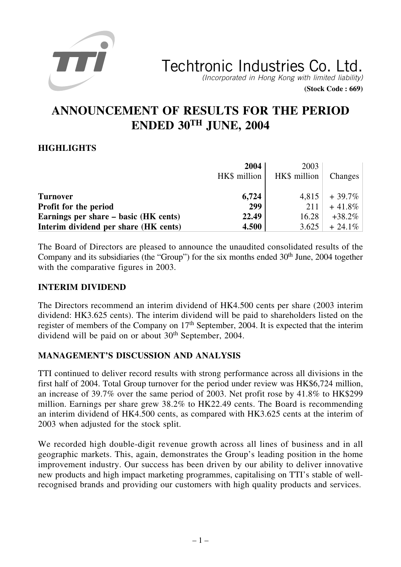

**(Stock Code : 669)**

# **ANNOUNCEMENT OF RESULTS FOR THE PERIOD ENDED 30TH JUNE, 2004**

# **HIGHLIGHTS**

|                                       | 2004<br>HK\$ million | 2003<br>HK\$ million | <b>Changes</b> |
|---------------------------------------|----------------------|----------------------|----------------|
| <b>Turnover</b>                       | 6,724                | 4,815                | $+39.7\%$      |
| Profit for the period                 | 299                  | 211                  | $+41.8\%$      |
| Earnings per share – basic (HK cents) | 22.49                | 16.28                | $+38.2\%$      |
| Interim dividend per share (HK cents) | 4.500                | 3.625                | $+24.1\%$      |

The Board of Directors are pleased to announce the unaudited consolidated results of the Company and its subsidiaries (the "Group") for the six months ended  $30<sup>th</sup>$  June, 2004 together with the comparative figures in 2003.

### **INTERIM DIVIDEND**

The Directors recommend an interim dividend of HK4.500 cents per share (2003 interim dividend: HK3.625 cents). The interim dividend will be paid to shareholders listed on the register of members of the Company on 17<sup>th</sup> September, 2004. It is expected that the interim dividend will be paid on or about  $30<sup>th</sup>$  September, 2004.

# **MANAGEMENT'S DISCUSSION AND ANALYSIS**

TTI continued to deliver record results with strong performance across all divisions in the first half of 2004. Total Group turnover for the period under review was HK\$6,724 million, an increase of 39.7% over the same period of 2003. Net profit rose by 41.8% to HK\$299 million. Earnings per share grew 38.2% to HK22.49 cents. The Board is recommending an interim dividend of HK4.500 cents, as compared with HK3.625 cents at the interim of 2003 when adjusted for the stock split.

We recorded high double-digit revenue growth across all lines of business and in all geographic markets. This, again, demonstrates the Group's leading position in the home improvement industry. Our success has been driven by our ability to deliver innovative new products and high impact marketing programmes, capitalising on TTI's stable of wellrecognised brands and providing our customers with high quality products and services.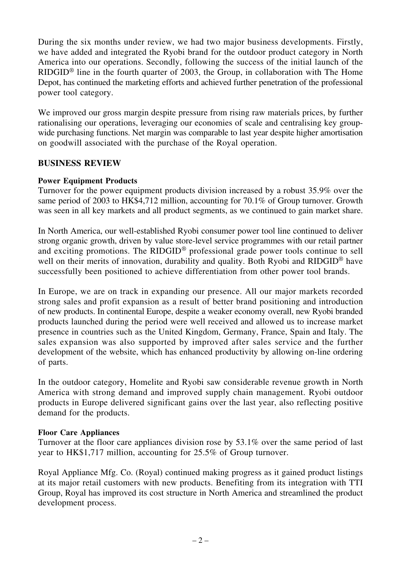During the six months under review, we had two major business developments. Firstly, we have added and integrated the Ryobi brand for the outdoor product category in North America into our operations. Secondly, following the success of the initial launch of the RIDGID® line in the fourth quarter of 2003, the Group, in collaboration with The Home Depot, has continued the marketing efforts and achieved further penetration of the professional power tool category.

We improved our gross margin despite pressure from rising raw materials prices, by further rationalising our operations, leveraging our economies of scale and centralising key groupwide purchasing functions. Net margin was comparable to last year despite higher amortisation on goodwill associated with the purchase of the Royal operation.

### **BUSINESS REVIEW**

### **Power Equipment Products**

Turnover for the power equipment products division increased by a robust 35.9% over the same period of 2003 to HK\$4,712 million, accounting for 70.1% of Group turnover. Growth was seen in all key markets and all product segments, as we continued to gain market share.

In North America, our well-established Ryobi consumer power tool line continued to deliver strong organic growth, driven by value store-level service programmes with our retail partner and exciting promotions. The RIDGID® professional grade power tools continue to sell well on their merits of innovation, durability and quality. Both Ryobi and RIDGID<sup>®</sup> have successfully been positioned to achieve differentiation from other power tool brands.

In Europe, we are on track in expanding our presence. All our major markets recorded strong sales and profit expansion as a result of better brand positioning and introduction of new products. In continental Europe, despite a weaker economy overall, new Ryobi branded products launched during the period were well received and allowed us to increase market presence in countries such as the United Kingdom, Germany, France, Spain and Italy. The sales expansion was also supported by improved after sales service and the further development of the website, which has enhanced productivity by allowing on-line ordering of parts.

In the outdoor category, Homelite and Ryobi saw considerable revenue growth in North America with strong demand and improved supply chain management. Ryobi outdoor products in Europe delivered significant gains over the last year, also reflecting positive demand for the products.

### **Floor Care Appliances**

Turnover at the floor care appliances division rose by 53.1% over the same period of last year to HK\$1,717 million, accounting for 25.5% of Group turnover.

Royal Appliance Mfg. Co. (Royal) continued making progress as it gained product listings at its major retail customers with new products. Benefiting from its integration with TTI Group, Royal has improved its cost structure in North America and streamlined the product development process.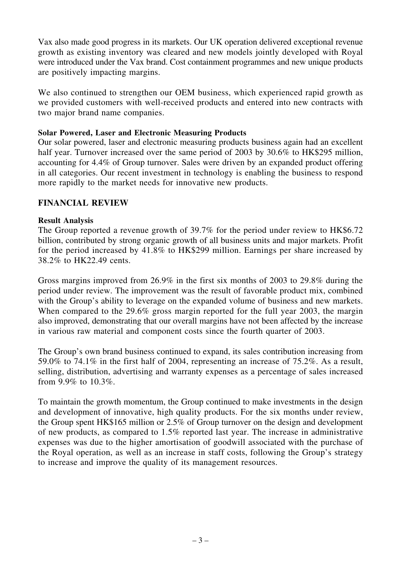Vax also made good progress in its markets. Our UK operation delivered exceptional revenue growth as existing inventory was cleared and new models jointly developed with Royal were introduced under the Vax brand. Cost containment programmes and new unique products are positively impacting margins.

We also continued to strengthen our OEM business, which experienced rapid growth as we provided customers with well-received products and entered into new contracts with two major brand name companies.

### **Solar Powered, Laser and Electronic Measuring Products**

Our solar powered, laser and electronic measuring products business again had an excellent half year. Turnover increased over the same period of 2003 by 30.6% to HK\$295 million, accounting for 4.4% of Group turnover. Sales were driven by an expanded product offering in all categories. Our recent investment in technology is enabling the business to respond more rapidly to the market needs for innovative new products.

### **FINANCIAL REVIEW**

### **Result Analysis**

The Group reported a revenue growth of 39.7% for the period under review to HK\$6.72 billion, contributed by strong organic growth of all business units and major markets. Profit for the period increased by 41.8% to HK\$299 million. Earnings per share increased by 38.2% to HK22.49 cents.

Gross margins improved from 26.9% in the first six months of 2003 to 29.8% during the period under review. The improvement was the result of favorable product mix, combined with the Group's ability to leverage on the expanded volume of business and new markets. When compared to the 29.6% gross margin reported for the full year 2003, the margin also improved, demonstrating that our overall margins have not been affected by the increase in various raw material and component costs since the fourth quarter of 2003.

The Group's own brand business continued to expand, its sales contribution increasing from 59.0% to 74.1% in the first half of 2004, representing an increase of 75.2%. As a result, selling, distribution, advertising and warranty expenses as a percentage of sales increased from 9.9% to 10.3%.

To maintain the growth momentum, the Group continued to make investments in the design and development of innovative, high quality products. For the six months under review, the Group spent HK\$165 million or 2.5% of Group turnover on the design and development of new products, as compared to 1.5% reported last year. The increase in administrative expenses was due to the higher amortisation of goodwill associated with the purchase of the Royal operation, as well as an increase in staff costs, following the Group's strategy to increase and improve the quality of its management resources.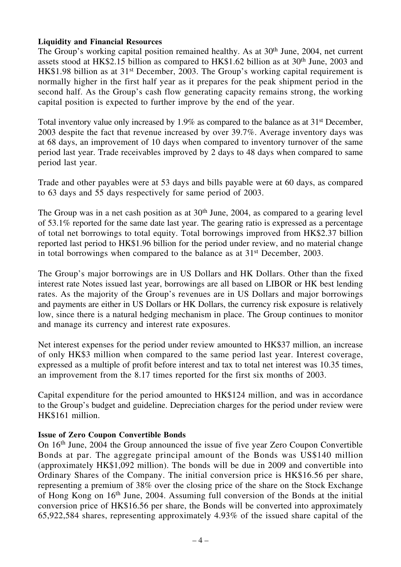### **Liquidity and Financial Resources**

The Group's working capital position remained healthy. As at 30<sup>th</sup> June, 2004, net current assets stood at HK\$2.15 billion as compared to HK\$1.62 billion as at 30th June, 2003 and HK\$1.98 billion as at 31st December, 2003. The Group's working capital requirement is normally higher in the first half year as it prepares for the peak shipment period in the second half. As the Group's cash flow generating capacity remains strong, the working capital position is expected to further improve by the end of the year.

Total inventory value only increased by 1.9% as compared to the balance as at 31st December, 2003 despite the fact that revenue increased by over 39.7%. Average inventory days was at 68 days, an improvement of 10 days when compared to inventory turnover of the same period last year. Trade receivables improved by 2 days to 48 days when compared to same period last year.

Trade and other payables were at 53 days and bills payable were at 60 days, as compared to 63 days and 55 days respectively for same period of 2003.

The Group was in a net cash position as at  $30<sup>th</sup>$  June, 2004, as compared to a gearing level of 53.1% reported for the same date last year. The gearing ratio is expressed as a percentage of total net borrowings to total equity. Total borrowings improved from HK\$2.37 billion reported last period to HK\$1.96 billion for the period under review, and no material change in total borrowings when compared to the balance as at 31st December, 2003.

The Group's major borrowings are in US Dollars and HK Dollars. Other than the fixed interest rate Notes issued last year, borrowings are all based on LIBOR or HK best lending rates. As the majority of the Group's revenues are in US Dollars and major borrowings and payments are either in US Dollars or HK Dollars, the currency risk exposure is relatively low, since there is a natural hedging mechanism in place. The Group continues to monitor and manage its currency and interest rate exposures.

Net interest expenses for the period under review amounted to HK\$37 million, an increase of only HK\$3 million when compared to the same period last year. Interest coverage, expressed as a multiple of profit before interest and tax to total net interest was 10.35 times, an improvement from the 8.17 times reported for the first six months of 2003.

Capital expenditure for the period amounted to HK\$124 million, and was in accordance to the Group's budget and guideline. Depreciation charges for the period under review were HK\$161 million.

### **Issue of Zero Coupon Convertible Bonds**

On 16th June, 2004 the Group announced the issue of five year Zero Coupon Convertible Bonds at par. The aggregate principal amount of the Bonds was US\$140 million (approximately HK\$1,092 million). The bonds will be due in 2009 and convertible into Ordinary Shares of the Company. The initial conversion price is HK\$16.56 per share, representing a premium of 38% over the closing price of the share on the Stock Exchange of Hong Kong on 16th June, 2004. Assuming full conversion of the Bonds at the initial conversion price of HK\$16.56 per share, the Bonds will be converted into approximately 65,922,584 shares, representing approximately 4.93% of the issued share capital of the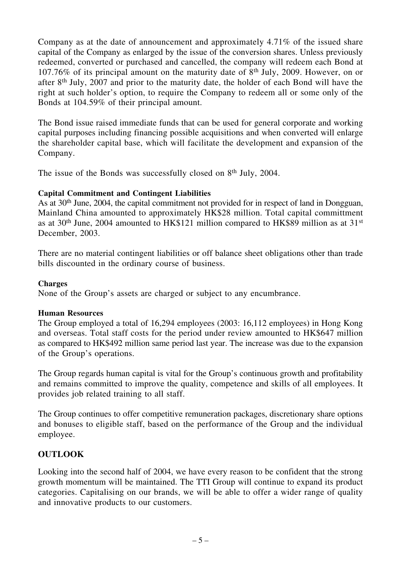Company as at the date of announcement and approximately 4.71% of the issued share capital of the Company as enlarged by the issue of the conversion shares. Unless previously redeemed, converted or purchased and cancelled, the company will redeem each Bond at 107.76% of its principal amount on the maturity date of 8th July, 2009. However, on or after 8th July, 2007 and prior to the maturity date, the holder of each Bond will have the right at such holder's option, to require the Company to redeem all or some only of the Bonds at 104.59% of their principal amount.

The Bond issue raised immediate funds that can be used for general corporate and working capital purposes including financing possible acquisitions and when converted will enlarge the shareholder capital base, which will facilitate the development and expansion of the Company.

The issue of the Bonds was successfully closed on 8<sup>th</sup> July, 2004.

### **Capital Commitment and Contingent Liabilities**

As at 30<sup>th</sup> June, 2004, the capital commitment not provided for in respect of land in Dongguan, Mainland China amounted to approximately HK\$28 million. Total capital committment as at 30th June, 2004 amounted to HK\$121 million compared to HK\$89 million as at 31st December, 2003.

There are no material contingent liabilities or off balance sheet obligations other than trade bills discounted in the ordinary course of business.

### **Charges**

None of the Group's assets are charged or subject to any encumbrance.

### **Human Resources**

The Group employed a total of 16,294 employees (2003: 16,112 employees) in Hong Kong and overseas. Total staff costs for the period under review amounted to HK\$647 million as compared to HK\$492 million same period last year. The increase was due to the expansion of the Group's operations.

The Group regards human capital is vital for the Group's continuous growth and profitability and remains committed to improve the quality, competence and skills of all employees. It provides job related training to all staff.

The Group continues to offer competitive remuneration packages, discretionary share options and bonuses to eligible staff, based on the performance of the Group and the individual employee.

# **OUTLOOK**

Looking into the second half of 2004, we have every reason to be confident that the strong growth momentum will be maintained. The TTI Group will continue to expand its product categories. Capitalising on our brands, we will be able to offer a wider range of quality and innovative products to our customers.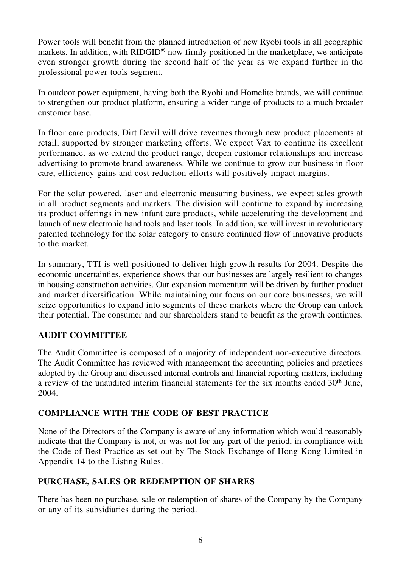Power tools will benefit from the planned introduction of new Ryobi tools in all geographic markets. In addition, with RIDGID® now firmly positioned in the marketplace, we anticipate even stronger growth during the second half of the year as we expand further in the professional power tools segment.

In outdoor power equipment, having both the Ryobi and Homelite brands, we will continue to strengthen our product platform, ensuring a wider range of products to a much broader customer base.

In floor care products, Dirt Devil will drive revenues through new product placements at retail, supported by stronger marketing efforts. We expect Vax to continue its excellent performance, as we extend the product range, deepen customer relationships and increase advertising to promote brand awareness. While we continue to grow our business in floor care, efficiency gains and cost reduction efforts will positively impact margins.

For the solar powered, laser and electronic measuring business, we expect sales growth in all product segments and markets. The division will continue to expand by increasing its product offerings in new infant care products, while accelerating the development and launch of new electronic hand tools and laser tools. In addition, we will invest in revolutionary patented technology for the solar category to ensure continued flow of innovative products to the market.

In summary, TTI is well positioned to deliver high growth results for 2004. Despite the economic uncertainties, experience shows that our businesses are largely resilient to changes in housing construction activities. Our expansion momentum will be driven by further product and market diversification. While maintaining our focus on our core businesses, we will seize opportunities to expand into segments of these markets where the Group can unlock their potential. The consumer and our shareholders stand to benefit as the growth continues.

# **AUDIT COMMITTEE**

The Audit Committee is composed of a majority of independent non-executive directors. The Audit Committee has reviewed with management the accounting policies and practices adopted by the Group and discussed internal controls and financial reporting matters, including a review of the unaudited interim financial statements for the six months ended 30<sup>th</sup> June, 2004.

# **COMPLIANCE WITH THE CODE OF BEST PRACTICE**

None of the Directors of the Company is aware of any information which would reasonably indicate that the Company is not, or was not for any part of the period, in compliance with the Code of Best Practice as set out by The Stock Exchange of Hong Kong Limited in Appendix 14 to the Listing Rules.

# **PURCHASE, SALES OR REDEMPTION OF SHARES**

There has been no purchase, sale or redemption of shares of the Company by the Company or any of its subsidiaries during the period.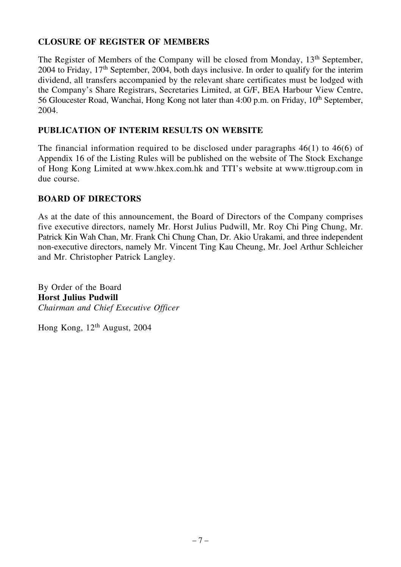# **CLOSURE OF REGISTER OF MEMBERS**

The Register of Members of the Company will be closed from Monday, 13<sup>th</sup> September, 2004 to Friday, 17th September, 2004, both days inclusive. In order to qualify for the interim dividend, all transfers accompanied by the relevant share certificates must be lodged with the Company's Share Registrars, Secretaries Limited, at G/F, BEA Harbour View Centre, 56 Gloucester Road, Wanchai, Hong Kong not later than 4:00 p.m. on Friday, 10<sup>th</sup> September, 2004.

# **PUBLICATION OF INTERIM RESULTS ON WEBSITE**

The financial information required to be disclosed under paragraphs 46(1) to 46(6) of Appendix 16 of the Listing Rules will be published on the website of The Stock Exchange of Hong Kong Limited at www.hkex.com.hk and TTI's website at www.ttigroup.com in due course.

### **BOARD OF DIRECTORS**

As at the date of this announcement, the Board of Directors of the Company comprises five executive directors, namely Mr. Horst Julius Pudwill, Mr. Roy Chi Ping Chung, Mr. Patrick Kin Wah Chan, Mr. Frank Chi Chung Chan, Dr. Akio Urakami, and three independent non-executive directors, namely Mr. Vincent Ting Kau Cheung, Mr. Joel Arthur Schleicher and Mr. Christopher Patrick Langley.

By Order of the Board **Horst Julius Pudwill** *Chairman and Chief Executive Officer*

Hong Kong, 12<sup>th</sup> August, 2004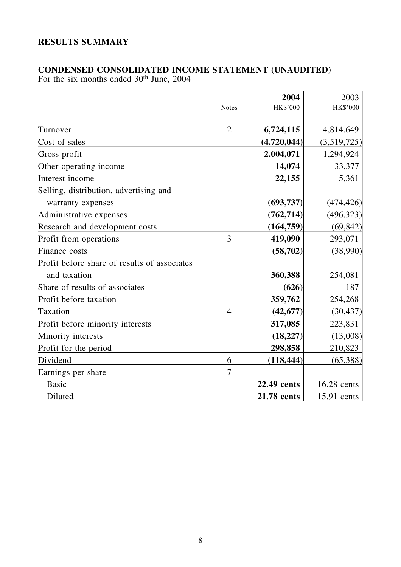# **RESULTS SUMMARY**

### **CONDENSED CONSOLIDATED INCOME STATEMENT (UNAUDITED)**

For the six months ended 30<sup>th</sup> June, 2004

|                                              |                | 2004        | 2003        |
|----------------------------------------------|----------------|-------------|-------------|
|                                              | <b>Notes</b>   | HK\$'000    | HK\$'000    |
|                                              |                |             |             |
| Turnover                                     | $\overline{2}$ | 6,724,115   | 4,814,649   |
| Cost of sales                                |                | (4,720,044) | (3,519,725) |
| Gross profit                                 |                | 2,004,071   | 1,294,924   |
| Other operating income                       |                | 14,074      | 33,377      |
| Interest income                              |                | 22,155      | 5,361       |
| Selling, distribution, advertising and       |                |             |             |
| warranty expenses                            |                | (693, 737)  | (474, 426)  |
| Administrative expenses                      |                | (762, 714)  | (496, 323)  |
| Research and development costs               |                | (164, 759)  | (69, 842)   |
| Profit from operations                       | 3              | 419,090     | 293,071     |
| Finance costs                                |                | (58, 702)   | (38,990)    |
| Profit before share of results of associates |                |             |             |
| and taxation                                 |                | 360,388     | 254,081     |
| Share of results of associates               |                | (626)       | 187         |
| Profit before taxation                       |                | 359,762     | 254,268     |
| Taxation                                     | $\overline{4}$ | (42, 677)   | (30, 437)   |
| Profit before minority interests             |                | 317,085     | 223,831     |
| Minority interests                           |                | (18, 227)   | (13,008)    |
| Profit for the period                        |                | 298,858     | 210,823     |
| Dividend                                     | 6              | (118, 444)  | (65,388)    |
| Earnings per share                           | $\overline{7}$ |             |             |
| <b>Basic</b>                                 |                | 22.49 cents | 16.28 cents |
| Diluted                                      |                | 21.78 cents | 15.91 cents |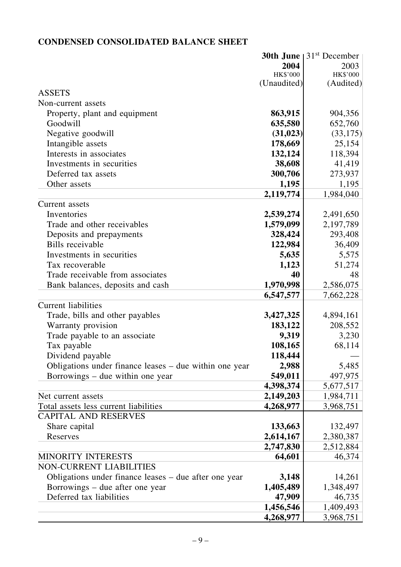# **CONDENSED CONSOLIDATED BALANCE SHEET**

|                                                        |             | <b>30th June</b> $ 31^{st}$ December |
|--------------------------------------------------------|-------------|--------------------------------------|
|                                                        | 2004        | 2003                                 |
|                                                        | HK\$'000    | HK\$'000                             |
|                                                        | (Unaudited) | (Audited)                            |
| <b>ASSETS</b>                                          |             |                                      |
| Non-current assets                                     |             |                                      |
| Property, plant and equipment                          | 863,915     | 904,356                              |
| Goodwill                                               | 635,580     | 652,760                              |
| Negative goodwill                                      | (31, 023)   | (33, 175)                            |
| Intangible assets                                      | 178,669     | 25,154                               |
| Interests in associates                                | 132,124     | 118,394                              |
| Investments in securities                              | 38,608      | 41,419                               |
| Deferred tax assets                                    | 300,706     | 273,937                              |
| Other assets                                           | 1,195       | 1,195                                |
|                                                        | 2,119,774   | 1,984,040                            |
| Current assets                                         |             |                                      |
| Inventories                                            | 2,539,274   | 2,491,650                            |
| Trade and other receivables                            | 1,579,099   | 2,197,789                            |
| Deposits and prepayments                               | 328,424     | 293,408                              |
| Bills receivable                                       | 122,984     | 36,409                               |
| Investments in securities                              | 5,635       | 5,575                                |
| Tax recoverable                                        | 1,123       | 51,274                               |
| Trade receivable from associates                       | 40          | 48                                   |
| Bank balances, deposits and cash                       | 1,970,998   | 2,586,075                            |
|                                                        | 6,547,577   | 7,662,228                            |
| <b>Current liabilities</b>                             |             |                                      |
| Trade, bills and other payables                        | 3,427,325   | 4,894,161                            |
| Warranty provision                                     | 183,122     | 208,552                              |
| Trade payable to an associate                          | 9,319       | 3,230                                |
| Tax payable                                            | 108,165     | 68,114                               |
| Dividend payable                                       | 118,444     |                                      |
| Obligations under finance leases – due within one year | 2,988       | 5,485                                |
| Borrowings – due within one year                       | 549,011     | 497,975                              |
|                                                        | 4,398,374   | 5,677,517                            |
| Net current assets                                     | 2,149,203   | 1,984,711                            |
| Total assets less current liabilities                  | 4,268,977   | 3,968,751                            |
| <b>CAPITAL AND RESERVES</b>                            |             |                                      |
| Share capital                                          | 133,663     | 132,497                              |
| Reserves                                               | 2,614,167   | 2,380,387                            |
|                                                        | 2,747,830   | 2,512,884                            |
| <b>MINORITY INTERESTS</b>                              | 64,601      | 46,374                               |
| <b>NON-CURRENT LIABILITIES</b>                         |             |                                      |
| Obligations under finance leases – due after one year  | 3,148       | 14,261                               |
| Borrowings – due after one year                        | 1,405,489   | 1,348,497                            |
| Deferred tax liabilities                               | 47,909      | 46,735                               |
|                                                        | 1,456,546   | 1,409,493                            |
|                                                        | 4,268,977   | 3,968,751                            |
|                                                        |             |                                      |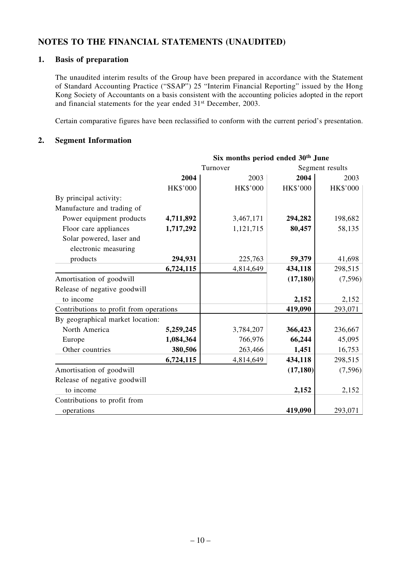### **NOTES TO THE FINANCIAL STATEMENTS (UNAUDITED)**

#### **1. Basis of preparation**

The unaudited interim results of the Group have been prepared in accordance with the Statement of Standard Accounting Practice ("SSAP") 25 "Interim Financial Reporting" issued by the Hong Kong Society of Accountants on a basis consistent with the accounting policies adopted in the report and financial statements for the year ended 31st December, 2003.

Certain comparative figures have been reclassified to conform with the current period's presentation.

#### **2. Segment Information**

|                                         | Six months period ended 30 <sup>th</sup> June |                 |                 |          |
|-----------------------------------------|-----------------------------------------------|-----------------|-----------------|----------|
|                                         | Turnover                                      |                 | Segment results |          |
|                                         | 2004                                          | 2003            | 2004            | 2003     |
|                                         | HK\$'000                                      | <b>HK\$'000</b> | HK\$'000        | HK\$'000 |
| By principal activity:                  |                                               |                 |                 |          |
| Manufacture and trading of              |                                               |                 |                 |          |
| Power equipment products                | 4,711,892                                     | 3,467,171       | 294,282         | 198,682  |
| Floor care appliances                   | 1,717,292                                     | 1,121,715       | 80,457          | 58,135   |
| Solar powered, laser and                |                                               |                 |                 |          |
| electronic measuring                    |                                               |                 |                 |          |
| products                                | 294,931                                       | 225,763         | 59,379          | 41,698   |
|                                         | 6,724,115                                     | 4,814,649       | 434,118         | 298,515  |
| Amortisation of goodwill                |                                               |                 | (17, 180)       | (7, 596) |
| Release of negative goodwill            |                                               |                 |                 |          |
| to income                               |                                               |                 | 2,152           | 2,152    |
| Contributions to profit from operations |                                               |                 | 419,090         | 293,071  |
| By geographical market location:        |                                               |                 |                 |          |
| North America                           | 5,259,245                                     | 3,784,207       | 366,423         | 236,667  |
| Europe                                  | 1,084,364                                     | 766,976         | 66,244          | 45,095   |
| Other countries                         | 380,506                                       | 263,466         | 1,451           | 16,753   |
|                                         | 6,724,115                                     | 4,814,649       | 434,118         | 298,515  |
| Amortisation of goodwill                |                                               |                 | (17, 180)       | (7, 596) |
| Release of negative goodwill            |                                               |                 |                 |          |
| to income                               |                                               |                 | 2,152           | 2,152    |
| Contributions to profit from            |                                               |                 |                 |          |
| operations                              |                                               |                 | 419,090         | 293,071  |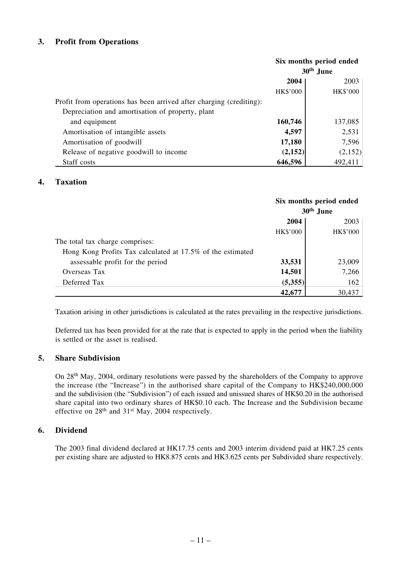### **3. Profit from Operations**

|                                                                     | Six months period ended<br>30 <sup>th</sup> June |          |
|---------------------------------------------------------------------|--------------------------------------------------|----------|
|                                                                     | 2004                                             | 2003     |
|                                                                     | HK\$'000                                         | HK\$'000 |
| Profit from operations has been arrived after charging (crediting): |                                                  |          |
| Depreciation and amortisation of property, plant                    |                                                  |          |
| and equipment                                                       | 160,746                                          | 137,085  |
| Amortisation of intangible assets                                   | 4,597                                            | 2,531    |
| Amortisation of goodwill                                            | 17,180                                           | 7,596    |
| Release of negative goodwill to income                              | (2,152)                                          | (2,152)  |
| Staff costs                                                         | 646,596                                          | 492,411  |

### **4. Taxation**

|                                                            | Six months period ended<br>30 <sup>th</sup> June |          |
|------------------------------------------------------------|--------------------------------------------------|----------|
|                                                            | 2004                                             | 2003     |
|                                                            | HK\$'000                                         | HK\$'000 |
| The total tax charge comprises:                            |                                                  |          |
| Hong Kong Profits Tax calculated at 17.5% of the estimated |                                                  |          |
| assessable profit for the period                           | 33,531                                           | 23,009   |
| Overseas Tax                                               | 14,501                                           | 7,266    |
| Deferred Tax                                               | (5,355)                                          | 162      |
|                                                            | 42,677                                           | 30,437   |

Taxation arising in other jurisdictions is calculated at the rates prevailing in the respective jurisdictions.

Deferred tax has been provided for at the rate that is expected to apply in the period when the liability is settled or the asset is realised.

### **5. Share Subdivision**

On 28th May, 2004, ordinary resolutions were passed by the shareholders of the Company to approve the increase (the "Increase") in the authorised share capital of the Company to HK\$240,000,000 and the subdivision (the "Subdivision") of each issued and unissued shares of HK\$0.20 in the authorised share capital into two ordinary shares of HK\$0.10 each. The Increase and the Subdivision became effective on 28th and 31st May, 2004 respectively.

#### **6. Dividend**

The 2003 final dividend declared at HK17.75 cents and 2003 interim dividend paid at HK7.25 cents per existing share are adjusted to HK8.875 cents and HK3.625 cents per Subdivided share respectively.